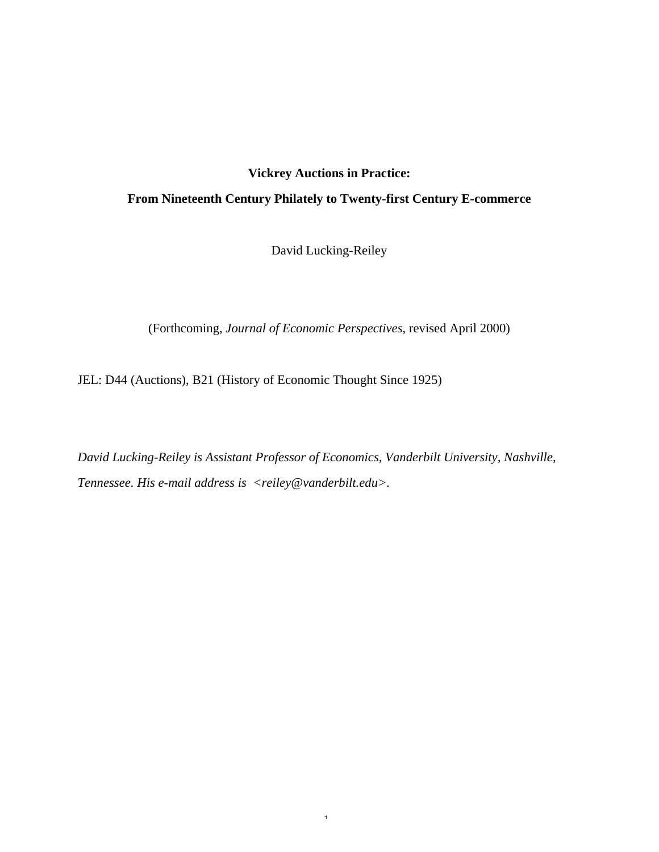# **Vickrey Auctions in Practice:**

# **From Nineteenth Century Philately to Twenty-first Century E-commerce**

David Lucking-Reiley

(Forthcoming, *Journal of Economic Perspectives*, revised April 2000)

JEL: D44 (Auctions), B21 (History of Economic Thought Since 1925)

*David Lucking-Reiley is Assistant Professor of Economics, Vanderbilt University, Nashville, Tennessee. His e-mail address is <reiley@vanderbilt.edu>.*

1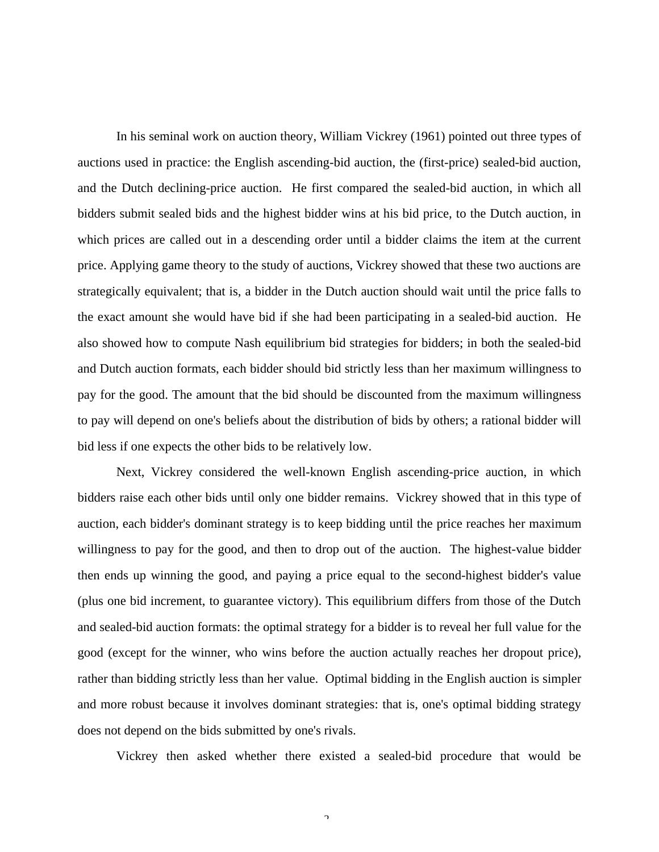In his seminal work on auction theory, William Vickrey (1961) pointed out three types of auctions used in practice: the English ascending-bid auction, the (first-price) sealed-bid auction, and the Dutch declining-price auction. He first compared the sealed-bid auction, in which all bidders submit sealed bids and the highest bidder wins at his bid price, to the Dutch auction, in which prices are called out in a descending order until a bidder claims the item at the current price. Applying game theory to the study of auctions, Vickrey showed that these two auctions are strategically equivalent; that is, a bidder in the Dutch auction should wait until the price falls to the exact amount she would have bid if she had been participating in a sealed-bid auction. He also showed how to compute Nash equilibrium bid strategies for bidders; in both the sealed-bid and Dutch auction formats, each bidder should bid strictly less than her maximum willingness to pay for the good. The amount that the bid should be discounted from the maximum willingness to pay will depend on one's beliefs about the distribution of bids by others; a rational bidder will bid less if one expects the other bids to be relatively low.

Next, Vickrey considered the well-known English ascending-price auction, in which bidders raise each other bids until only one bidder remains. Vickrey showed that in this type of auction, each bidder's dominant strategy is to keep bidding until the price reaches her maximum willingness to pay for the good, and then to drop out of the auction. The highest-value bidder then ends up winning the good, and paying a price equal to the second-highest bidder's value (plus one bid increment, to guarantee victory). This equilibrium differs from those of the Dutch and sealed-bid auction formats: the optimal strategy for a bidder is to reveal her full value for the good (except for the winner, who wins before the auction actually reaches her dropout price), rather than bidding strictly less than her value. Optimal bidding in the English auction is simpler and more robust because it involves dominant strategies: that is, one's optimal bidding strategy does not depend on the bids submitted by one's rivals.

Vickrey then asked whether there existed a sealed-bid procedure that would be

 $\mathbf{\hat{}}$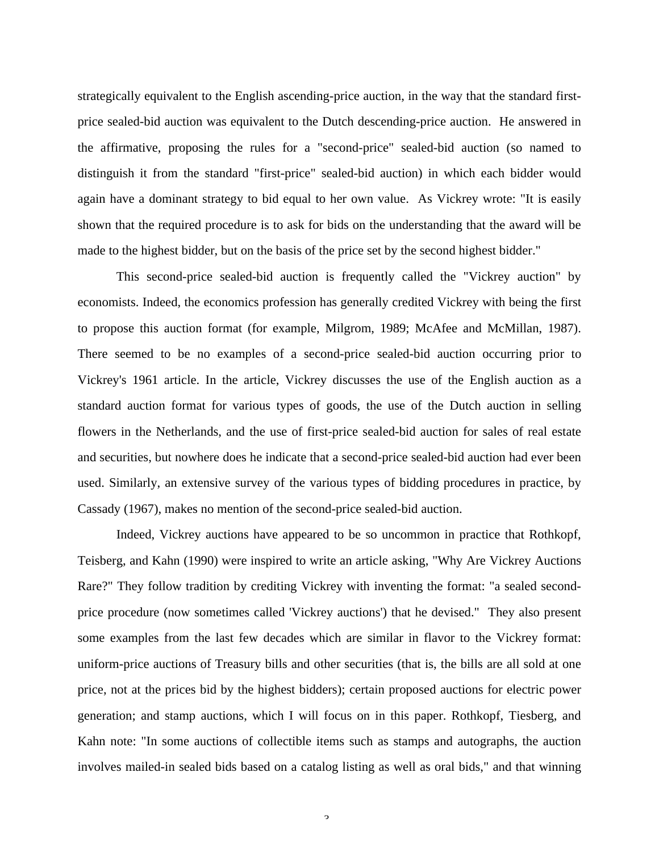strategically equivalent to the English ascending-price auction, in the way that the standard firstprice sealed-bid auction was equivalent to the Dutch descending-price auction. He answered in the affirmative, proposing the rules for a "second-price" sealed-bid auction (so named to distinguish it from the standard "first-price" sealed-bid auction) in which each bidder would again have a dominant strategy to bid equal to her own value. As Vickrey wrote: "It is easily shown that the required procedure is to ask for bids on the understanding that the award will be made to the highest bidder, but on the basis of the price set by the second highest bidder."

This second-price sealed-bid auction is frequently called the "Vickrey auction" by economists. Indeed, the economics profession has generally credited Vickrey with being the first to propose this auction format (for example, Milgrom, 1989; McAfee and McMillan, 1987). There seemed to be no examples of a second-price sealed-bid auction occurring prior to Vickrey's 1961 article. In the article, Vickrey discusses the use of the English auction as a standard auction format for various types of goods, the use of the Dutch auction in selling flowers in the Netherlands, and the use of first-price sealed-bid auction for sales of real estate and securities, but nowhere does he indicate that a second-price sealed-bid auction had ever been used. Similarly, an extensive survey of the various types of bidding procedures in practice, by Cassady (1967), makes no mention of the second-price sealed-bid auction.

Indeed, Vickrey auctions have appeared to be so uncommon in practice that Rothkopf, Teisberg, and Kahn (1990) were inspired to write an article asking, "Why Are Vickrey Auctions Rare?" They follow tradition by crediting Vickrey with inventing the format: "a sealed secondprice procedure (now sometimes called 'Vickrey auctions') that he devised." They also present some examples from the last few decades which are similar in flavor to the Vickrey format: uniform-price auctions of Treasury bills and other securities (that is, the bills are all sold at one price, not at the prices bid by the highest bidders); certain proposed auctions for electric power generation; and stamp auctions, which I will focus on in this paper. Rothkopf, Tiesberg, and Kahn note: "In some auctions of collectible items such as stamps and autographs, the auction involves mailed-in sealed bids based on a catalog listing as well as oral bids," and that winning

 $\overline{2}$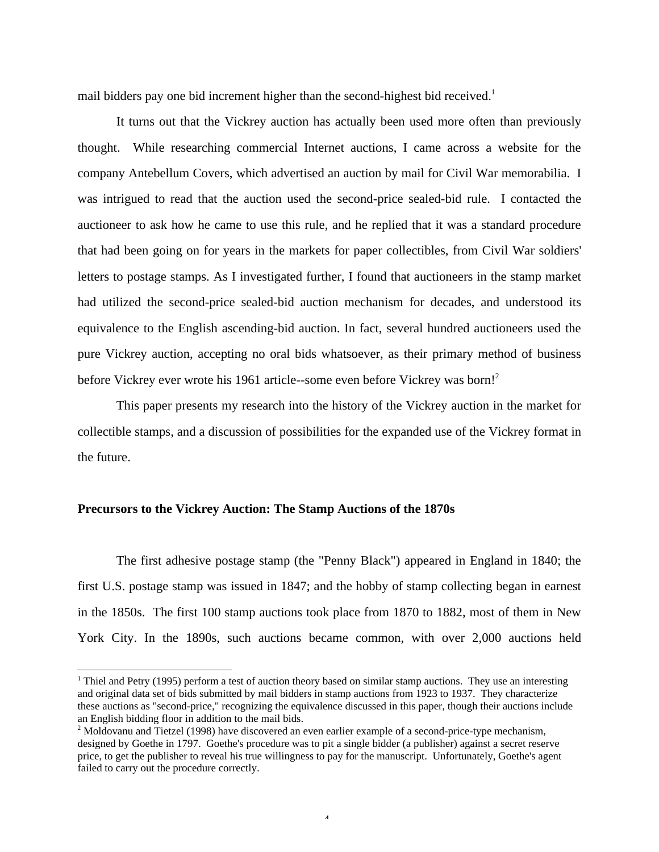mail bidders pay one bid increment higher than the second-highest bid received.<sup>1</sup>

It turns out that the Vickrey auction has actually been used more often than previously thought. While researching commercial Internet auctions, I came across a website for the company Antebellum Covers, which advertised an auction by mail for Civil War memorabilia. I was intrigued to read that the auction used the second-price sealed-bid rule. I contacted the auctioneer to ask how he came to use this rule, and he replied that it was a standard procedure that had been going on for years in the markets for paper collectibles, from Civil War soldiers' letters to postage stamps. As I investigated further, I found that auctioneers in the stamp market had utilized the second-price sealed-bid auction mechanism for decades, and understood its equivalence to the English ascending-bid auction. In fact, several hundred auctioneers used the pure Vickrey auction, accepting no oral bids whatsoever, as their primary method of business before Vickrey ever wrote his 1961 article--some even before Vickrey was born!<sup>2</sup>

This paper presents my research into the history of the Vickrey auction in the market for collectible stamps, and a discussion of possibilities for the expanded use of the Vickrey format in the future.

### **Precursors to the Vickrey Auction: The Stamp Auctions of the 1870s**

i<br>L

The first adhesive postage stamp (the "Penny Black") appeared in England in 1840; the first U.S. postage stamp was issued in 1847; and the hobby of stamp collecting began in earnest in the 1850s. The first 100 stamp auctions took place from 1870 to 1882, most of them in New York City. In the 1890s, such auctions became common, with over 2,000 auctions held

<sup>&</sup>lt;sup>1</sup> Thiel and Petry (1995) perform a test of auction theory based on similar stamp auctions. They use an interesting and original data set of bids submitted by mail bidders in stamp auctions from 1923 to 1937. They characterize these auctions as "second-price," recognizing the equivalence discussed in this paper, though their auctions include an English bidding floor in addition to the mail bids.

 $2$  Moldovanu and Tietzel (1998) have discovered an even earlier example of a second-price-type mechanism, designed by Goethe in 1797. Goethe's procedure was to pit a single bidder (a publisher) against a secret reserve price, to get the publisher to reveal his true willingness to pay for the manuscript. Unfortunately, Goethe's agent failed to carry out the procedure correctly.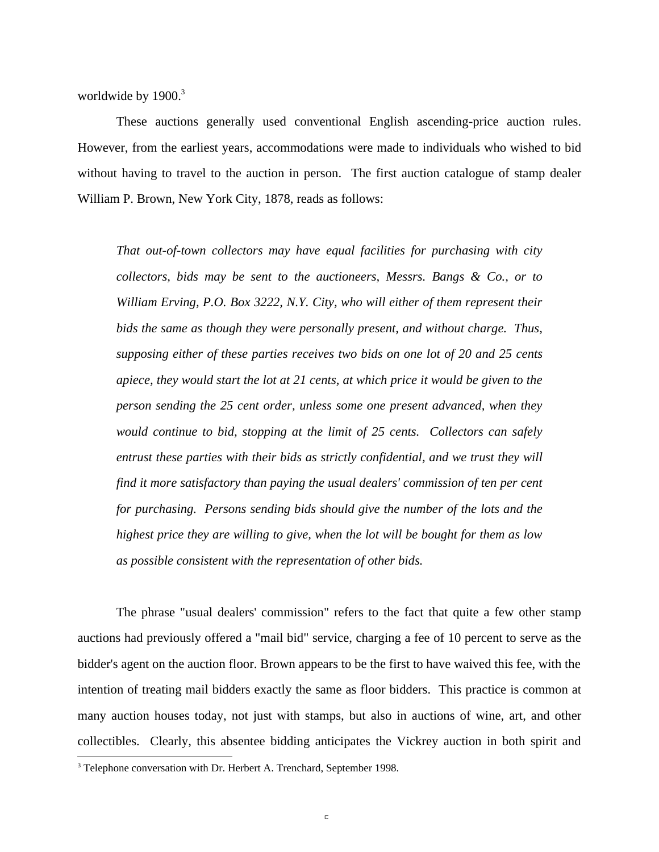worldwide by 1900.<sup>3</sup>

These auctions generally used conventional English ascending-price auction rules. However, from the earliest years, accommodations were made to individuals who wished to bid without having to travel to the auction in person. The first auction catalogue of stamp dealer William P. Brown, New York City, 1878, reads as follows:

*That out-of-town collectors may have equal facilities for purchasing with city collectors, bids may be sent to the auctioneers, Messrs. Bangs & Co., or to William Erving, P.O. Box 3222, N.Y. City, who will either of them represent their bids the same as though they were personally present, and without charge. Thus, supposing either of these parties receives two bids on one lot of 20 and 25 cents apiece, they would start the lot at 21 cents, at which price it would be given to the person sending the 25 cent order, unless some one present advanced, when they would continue to bid, stopping at the limit of 25 cents. Collectors can safely entrust these parties with their bids as strictly confidential, and we trust they will find it more satisfactory than paying the usual dealers' commission of ten per cent for purchasing. Persons sending bids should give the number of the lots and the highest price they are willing to give, when the lot will be bought for them as low as possible consistent with the representation of other bids.*

The phrase "usual dealers' commission" refers to the fact that quite a few other stamp auctions had previously offered a "mail bid" service, charging a fee of 10 percent to serve as the bidder's agent on the auction floor. Brown appears to be the first to have waived this fee, with the intention of treating mail bidders exactly the same as floor bidders. This practice is common at many auction houses today, not just with stamps, but also in auctions of wine, art, and other collectibles. Clearly, this absentee bidding anticipates the Vickrey auction in both spirit and

<sup>&</sup>lt;sup>3</sup> Telephone conversation with Dr. Herbert A. Trenchard, September 1998.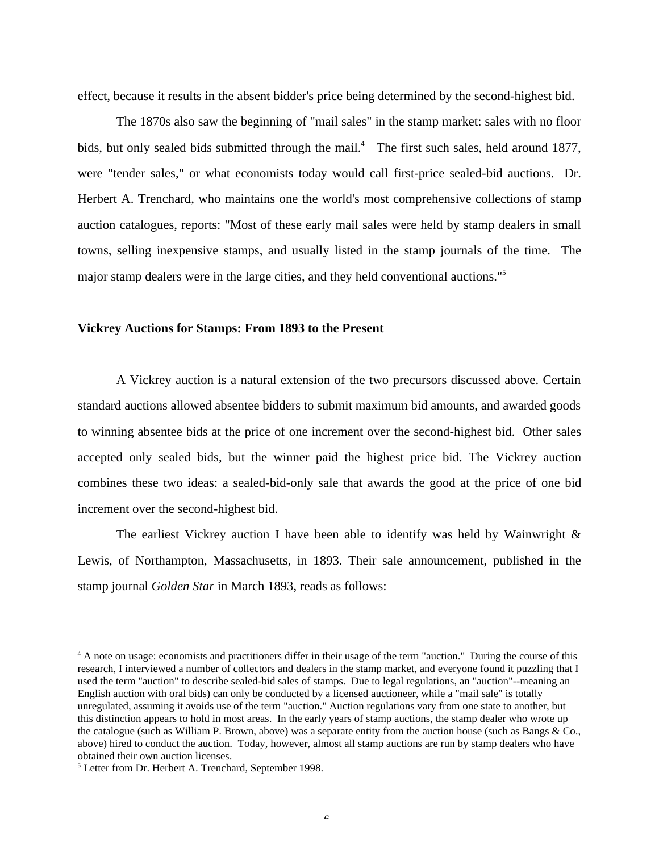effect, because it results in the absent bidder's price being determined by the second-highest bid.

The 1870s also saw the beginning of "mail sales" in the stamp market: sales with no floor bids, but only sealed bids submitted through the mail.<sup>4</sup> The first such sales, held around 1877, were "tender sales," or what economists today would call first-price sealed-bid auctions. Dr. Herbert A. Trenchard, who maintains one the world's most comprehensive collections of stamp auction catalogues, reports: "Most of these early mail sales were held by stamp dealers in small towns, selling inexpensive stamps, and usually listed in the stamp journals of the time. The major stamp dealers were in the large cities, and they held conventional auctions."<sup>5</sup>

## **Vickrey Auctions for Stamps: From 1893 to the Present**

A Vickrey auction is a natural extension of the two precursors discussed above. Certain standard auctions allowed absentee bidders to submit maximum bid amounts, and awarded goods to winning absentee bids at the price of one increment over the second-highest bid. Other sales accepted only sealed bids, but the winner paid the highest price bid. The Vickrey auction combines these two ideas: a sealed-bid-only sale that awards the good at the price of one bid increment over the second-highest bid.

The earliest Vickrey auction I have been able to identify was held by Wainwright  $\&$ Lewis, of Northampton, Massachusetts, in 1893. Their sale announcement, published in the stamp journal *Golden Star* in March 1893, reads as follows:

÷,

<sup>&</sup>lt;sup>4</sup> A note on usage: economists and practitioners differ in their usage of the term "auction." During the course of this research, I interviewed a number of collectors and dealers in the stamp market, and everyone found it puzzling that I used the term "auction" to describe sealed-bid sales of stamps. Due to legal regulations, an "auction"--meaning an English auction with oral bids) can only be conducted by a licensed auctioneer, while a "mail sale" is totally unregulated, assuming it avoids use of the term "auction." Auction regulations vary from one state to another, but this distinction appears to hold in most areas. In the early years of stamp auctions, the stamp dealer who wrote up the catalogue (such as William P. Brown, above) was a separate entity from the auction house (such as Bangs & Co., above) hired to conduct the auction. Today, however, almost all stamp auctions are run by stamp dealers who have obtained their own auction licenses.

<sup>&</sup>lt;sup>5</sup> Letter from Dr. Herbert A. Trenchard, September 1998.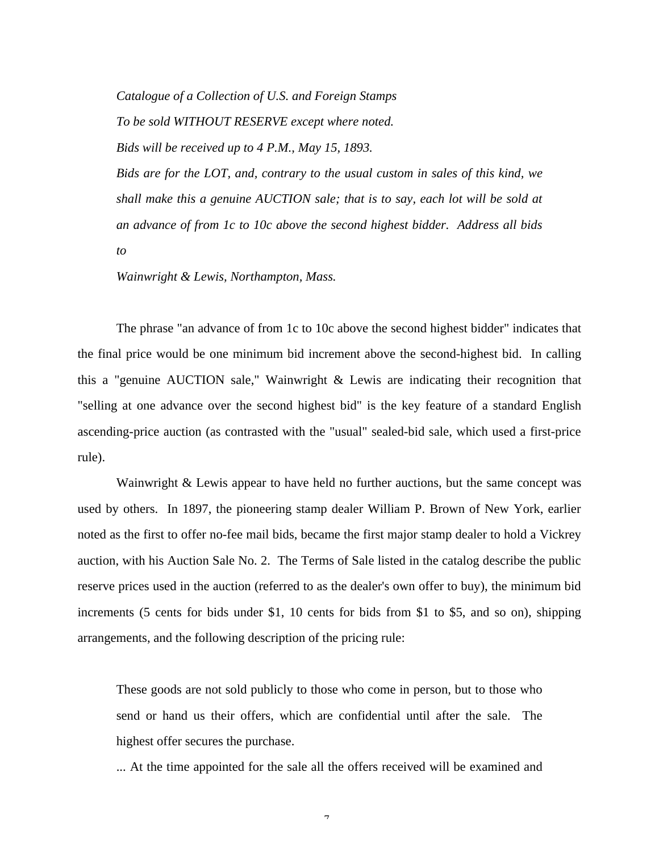*Catalogue of a Collection of U.S. and Foreign Stamps To be sold WITHOUT RESERVE except where noted. Bids will be received up to 4 P.M., May 15, 1893.*

*Bids are for the LOT, and, contrary to the usual custom in sales of this kind, we shall make this a genuine AUCTION sale; that is to say, each lot will be sold at an advance of from 1c to 10c above the second highest bidder. Address all bids to*

*Wainwright & Lewis, Northampton, Mass.*

The phrase "an advance of from 1c to 10c above the second highest bidder" indicates that the final price would be one minimum bid increment above the second-highest bid. In calling this a "genuine AUCTION sale," Wainwright & Lewis are indicating their recognition that "selling at one advance over the second highest bid" is the key feature of a standard English ascending-price auction (as contrasted with the "usual" sealed-bid sale, which used a first-price rule).

Wainwright & Lewis appear to have held no further auctions, but the same concept was used by others. In 1897, the pioneering stamp dealer William P. Brown of New York, earlier noted as the first to offer no-fee mail bids, became the first major stamp dealer to hold a Vickrey auction, with his Auction Sale No. 2. The Terms of Sale listed in the catalog describe the public reserve prices used in the auction (referred to as the dealer's own offer to buy), the minimum bid increments (5 cents for bids under \$1, 10 cents for bids from \$1 to \$5, and so on), shipping arrangements, and the following description of the pricing rule:

These goods are not sold publicly to those who come in person, but to those who send or hand us their offers, which are confidential until after the sale. The highest offer secures the purchase.

... At the time appointed for the sale all the offers received will be examined and

7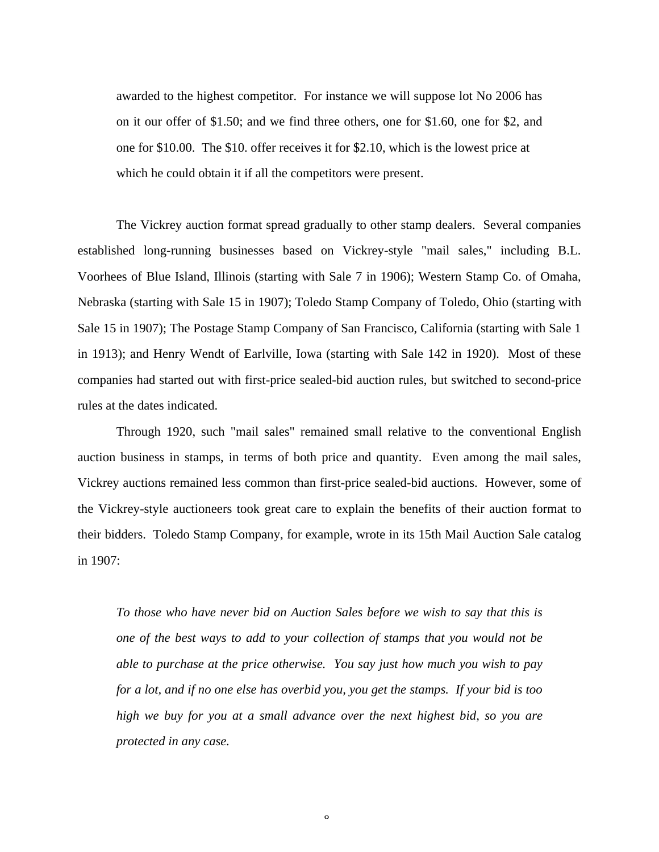awarded to the highest competitor. For instance we will suppose lot No 2006 has on it our offer of \$1.50; and we find three others, one for \$1.60, one for \$2, and one for \$10.00. The \$10. offer receives it for \$2.10, which is the lowest price at which he could obtain it if all the competitors were present.

The Vickrey auction format spread gradually to other stamp dealers. Several companies established long-running businesses based on Vickrey-style "mail sales," including B.L. Voorhees of Blue Island, Illinois (starting with Sale 7 in 1906); Western Stamp Co. of Omaha, Nebraska (starting with Sale 15 in 1907); Toledo Stamp Company of Toledo, Ohio (starting with Sale 15 in 1907); The Postage Stamp Company of San Francisco, California (starting with Sale 1 in 1913); and Henry Wendt of Earlville, Iowa (starting with Sale 142 in 1920). Most of these companies had started out with first-price sealed-bid auction rules, but switched to second-price rules at the dates indicated.

Through 1920, such "mail sales" remained small relative to the conventional English auction business in stamps, in terms of both price and quantity. Even among the mail sales, Vickrey auctions remained less common than first-price sealed-bid auctions. However, some of the Vickrey-style auctioneers took great care to explain the benefits of their auction format to their bidders. Toledo Stamp Company, for example, wrote in its 15th Mail Auction Sale catalog in 1907:

*To those who have never bid on Auction Sales before we wish to say that this is one of the best ways to add to your collection of stamps that you would not be able to purchase at the price otherwise. You say just how much you wish to pay for a lot, and if no one else has overbid you, you get the stamps. If your bid is too high we buy for you at a small advance over the next highest bid, so you are protected in any case.*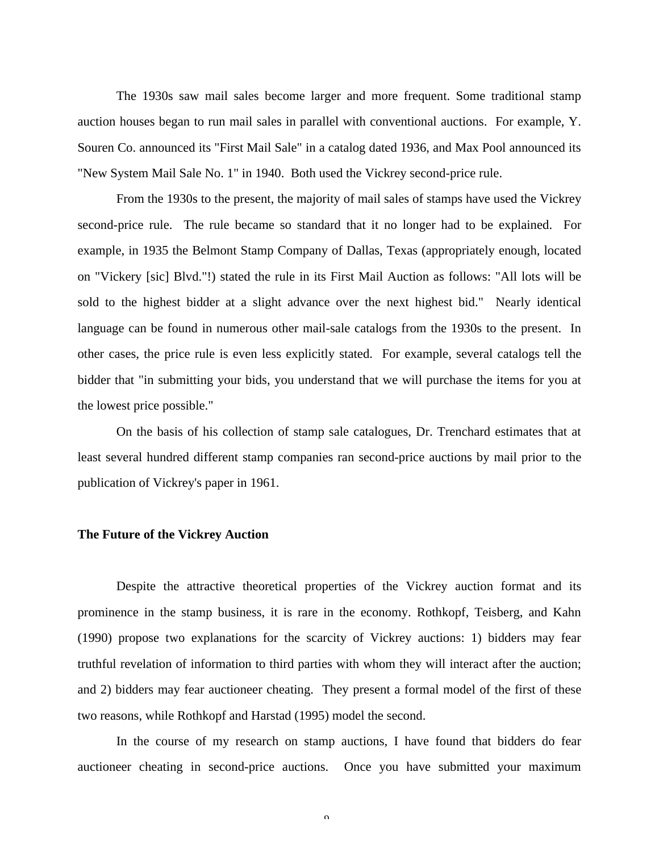The 1930s saw mail sales become larger and more frequent. Some traditional stamp auction houses began to run mail sales in parallel with conventional auctions. For example, Y. Souren Co. announced its "First Mail Sale" in a catalog dated 1936, and Max Pool announced its "New System Mail Sale No. 1" in 1940. Both used the Vickrey second-price rule.

From the 1930s to the present, the majority of mail sales of stamps have used the Vickrey second-price rule. The rule became so standard that it no longer had to be explained. For example, in 1935 the Belmont Stamp Company of Dallas, Texas (appropriately enough, located on "Vickery [sic] Blvd."!) stated the rule in its First Mail Auction as follows: "All lots will be sold to the highest bidder at a slight advance over the next highest bid." Nearly identical language can be found in numerous other mail-sale catalogs from the 1930s to the present. In other cases, the price rule is even less explicitly stated. For example, several catalogs tell the bidder that "in submitting your bids, you understand that we will purchase the items for you at the lowest price possible."

On the basis of his collection of stamp sale catalogues, Dr. Trenchard estimates that at least several hundred different stamp companies ran second-price auctions by mail prior to the publication of Vickrey's paper in 1961.

### **The Future of the Vickrey Auction**

Despite the attractive theoretical properties of the Vickrey auction format and its prominence in the stamp business, it is rare in the economy. Rothkopf, Teisberg, and Kahn (1990) propose two explanations for the scarcity of Vickrey auctions: 1) bidders may fear truthful revelation of information to third parties with whom they will interact after the auction; and 2) bidders may fear auctioneer cheating. They present a formal model of the first of these two reasons, while Rothkopf and Harstad (1995) model the second.

In the course of my research on stamp auctions, I have found that bidders do fear auctioneer cheating in second-price auctions. Once you have submitted your maximum

 $\Omega$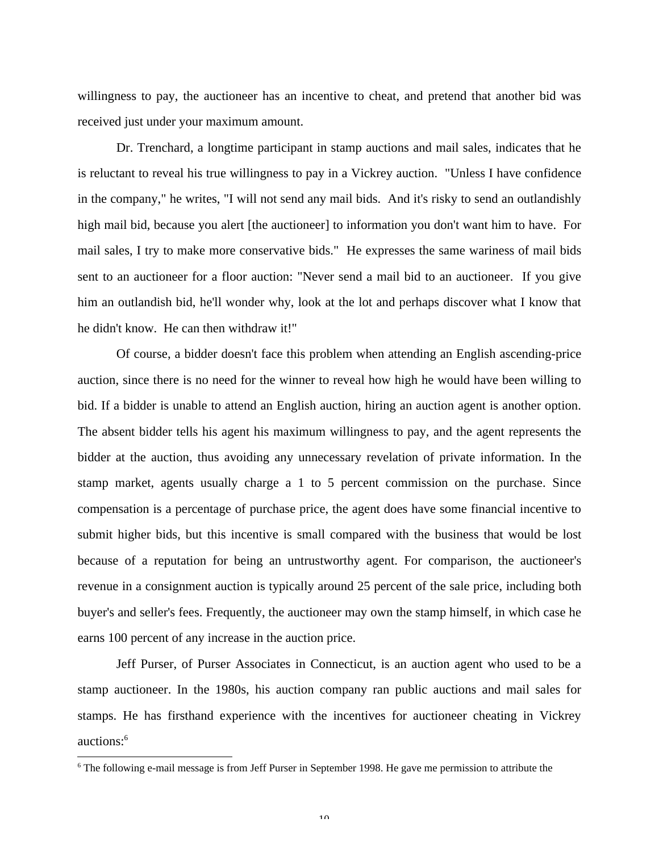willingness to pay, the auctioneer has an incentive to cheat, and pretend that another bid was received just under your maximum amount.

Dr. Trenchard, a longtime participant in stamp auctions and mail sales, indicates that he is reluctant to reveal his true willingness to pay in a Vickrey auction. "Unless I have confidence in the company," he writes, "I will not send any mail bids. And it's risky to send an outlandishly high mail bid, because you alert [the auctioneer] to information you don't want him to have. For mail sales, I try to make more conservative bids." He expresses the same wariness of mail bids sent to an auctioneer for a floor auction: "Never send a mail bid to an auctioneer. If you give him an outlandish bid, he'll wonder why, look at the lot and perhaps discover what I know that he didn't know. He can then withdraw it!"

Of course, a bidder doesn't face this problem when attending an English ascending-price auction, since there is no need for the winner to reveal how high he would have been willing to bid. If a bidder is unable to attend an English auction, hiring an auction agent is another option. The absent bidder tells his agent his maximum willingness to pay, and the agent represents the bidder at the auction, thus avoiding any unnecessary revelation of private information. In the stamp market, agents usually charge a 1 to 5 percent commission on the purchase. Since compensation is a percentage of purchase price, the agent does have some financial incentive to submit higher bids, but this incentive is small compared with the business that would be lost because of a reputation for being an untrustworthy agent. For comparison, the auctioneer's revenue in a consignment auction is typically around 25 percent of the sale price, including both buyer's and seller's fees. Frequently, the auctioneer may own the stamp himself, in which case he earns 100 percent of any increase in the auction price.

Jeff Purser, of Purser Associates in Connecticut, is an auction agent who used to be a stamp auctioneer. In the 1980s, his auction company ran public auctions and mail sales for stamps. He has firsthand experience with the incentives for auctioneer cheating in Vickrey auctions:<sup>6</sup>

i<br>L

<sup>&</sup>lt;sup>6</sup> The following e-mail message is from Jeff Purser in September 1998. He gave me permission to attribute the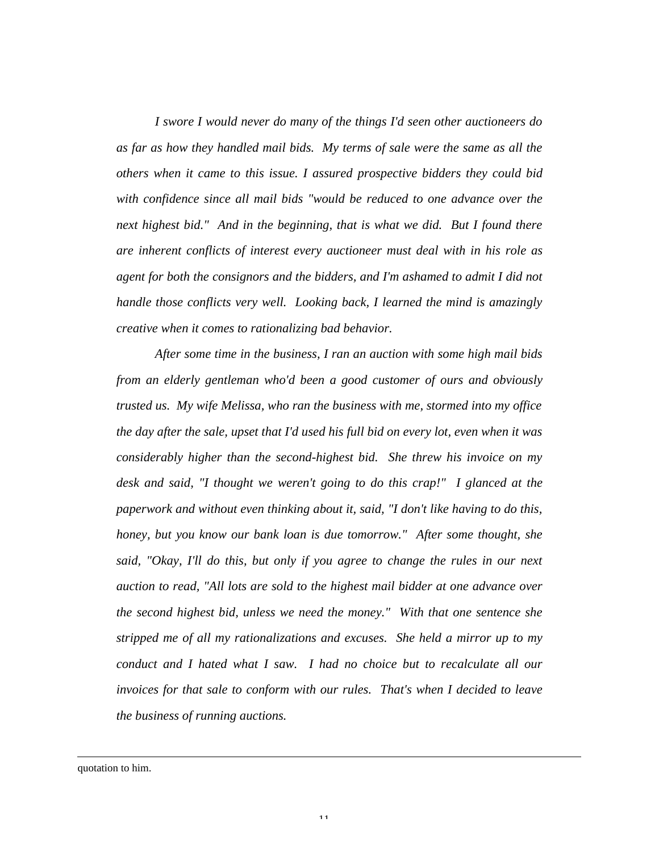*I swore I would never do many of the things I'd seen other auctioneers do as far as how they handled mail bids. My terms of sale were the same as all the others when it came to this issue. I assured prospective bidders they could bid with confidence since all mail bids "would be reduced to one advance over the next highest bid." And in the beginning, that is what we did. But I found there are inherent conflicts of interest every auctioneer must deal with in his role as agent for both the consignors and the bidders, and I'm ashamed to admit I did not handle those conflicts very well. Looking back, I learned the mind is amazingly creative when it comes to rationalizing bad behavior.*

*After some time in the business, I ran an auction with some high mail bids from an elderly gentleman who'd been a good customer of ours and obviously trusted us. My wife Melissa, who ran the business with me, stormed into my office the day after the sale, upset that I'd used his full bid on every lot, even when it was considerably higher than the second-highest bid. She threw his invoice on my desk and said, "I thought we weren't going to do this crap!" I glanced at the paperwork and without even thinking about it, said, "I don't like having to do this, honey, but you know our bank loan is due tomorrow." After some thought, she said, "Okay, I'll do this, but only if you agree to change the rules in our next auction to read, "All lots are sold to the highest mail bidder at one advance over the second highest bid, unless we need the money." With that one sentence she stripped me of all my rationalizations and excuses. She held a mirror up to my conduct and I hated what I saw. I had no choice but to recalculate all our invoices for that sale to conform with our rules. That's when I decided to leave the business of running auctions.*

i<br>L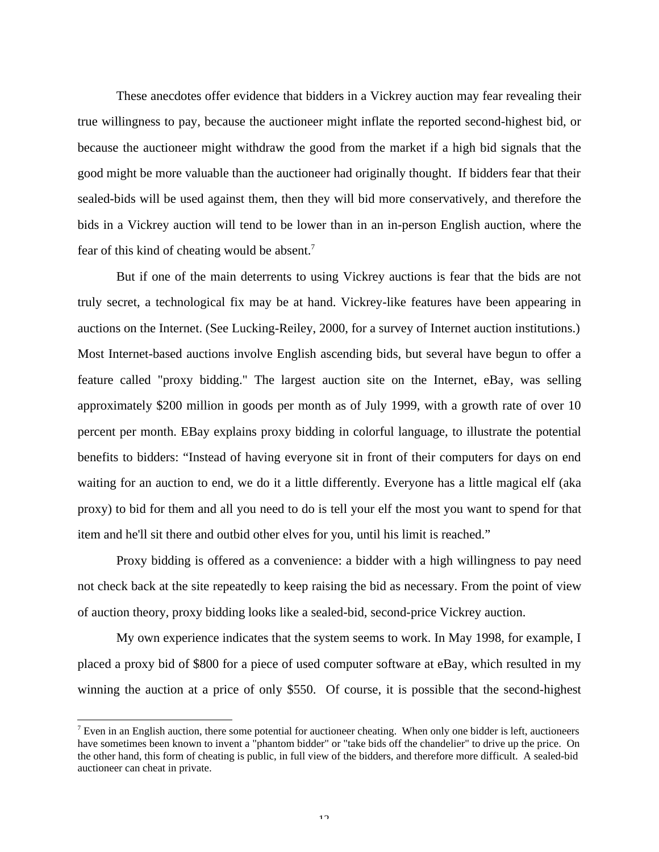These anecdotes offer evidence that bidders in a Vickrey auction may fear revealing their true willingness to pay, because the auctioneer might inflate the reported second-highest bid, or because the auctioneer might withdraw the good from the market if a high bid signals that the good might be more valuable than the auctioneer had originally thought. If bidders fear that their sealed-bids will be used against them, then they will bid more conservatively, and therefore the bids in a Vickrey auction will tend to be lower than in an in-person English auction, where the fear of this kind of cheating would be absent.<sup>7</sup>

But if one of the main deterrents to using Vickrey auctions is fear that the bids are not truly secret, a technological fix may be at hand. Vickrey-like features have been appearing in auctions on the Internet. (See Lucking-Reiley, 2000, for a survey of Internet auction institutions.) Most Internet-based auctions involve English ascending bids, but several have begun to offer a feature called "proxy bidding." The largest auction site on the Internet, eBay, was selling approximately \$200 million in goods per month as of July 1999, with a growth rate of over 10 percent per month. EBay explains proxy bidding in colorful language, to illustrate the potential benefits to bidders: "Instead of having everyone sit in front of their computers for days on end waiting for an auction to end, we do it a little differently. Everyone has a little magical elf (aka proxy) to bid for them and all you need to do is tell your elf the most you want to spend for that item and he'll sit there and outbid other elves for you, until his limit is reached."

Proxy bidding is offered as a convenience: a bidder with a high willingness to pay need not check back at the site repeatedly to keep raising the bid as necessary. From the point of view of auction theory, proxy bidding looks like a sealed-bid, second-price Vickrey auction.

My own experience indicates that the system seems to work. In May 1998, for example, I placed a proxy bid of \$800 for a piece of used computer software at eBay, which resulted in my winning the auction at a price of only \$550. Of course, it is possible that the second-highest

÷,

 $<sup>7</sup>$  Even in an English auction, there some potential for auctioneer cheating. When only one bidder is left, auctioneers</sup> have sometimes been known to invent a "phantom bidder" or "take bids off the chandelier" to drive up the price. On the other hand, this form of cheating is public, in full view of the bidders, and therefore more difficult. A sealed-bid auctioneer can cheat in private.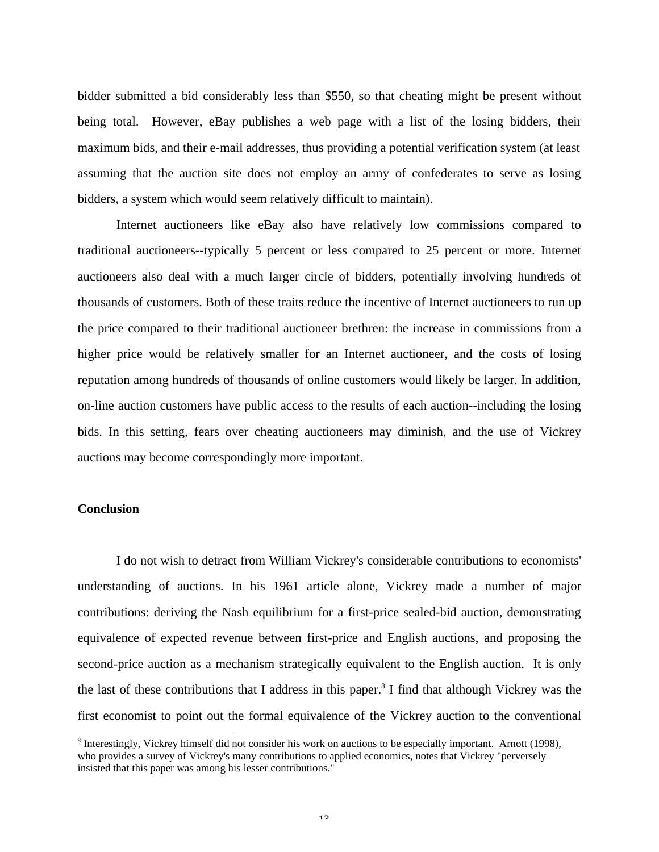bidder submitted a bid considerably less than \$550, so that cheating might be present without being total. However, eBay publishes a web page with a list of the losing bidders, their maximum bids, and their e-mail addresses, thus providing a potential verification system (at least assuming that the auction site does not employ an army of confederates to serve as losing bidders, a system which would seem relatively difficult to maintain).

Internet auctioneers like eBay also have relatively low commissions compared to traditional auctioneers--typically 5 percent or less compared to 25 percent or more. Internet auctioneers also deal with a much larger circle of bidders, potentially involving hundreds of thousands of customers. Both of these traits reduce the incentive of Internet auctioneers to run up the price compared to their traditional auctioneer brethren: the increase in commissions from a higher price would be relatively smaller for an Internet auctioneer, and the costs of losing reputation among hundreds of thousands of online customers would likely be larger. In addition, on-line auction customers have public access to the results of each auction--including the losing bids. In this setting, fears over cheating auctioneers may diminish, and the use of Vickrey auctions may become correspondingly more important.

## **Conclusion**

i<br>L

I do not wish to detract from William Vickrey's considerable contributions to economists' understanding of auctions. In his 1961 article alone, Vickrey made a number of major contributions: deriving the Nash equilibrium for a first-price sealed-bid auction, demonstrating equivalence of expected revenue between first-price and English auctions, and proposing the second-price auction as a mechanism strategically equivalent to the English auction. It is only the last of these contributions that I address in this paper.<sup>8</sup> I find that although Vickrey was the first economist to point out the formal equivalence of the Vickrey auction to the conventional

<sup>&</sup>lt;sup>8</sup> Interestingly, Vickrey himself did not consider his work on auctions to be especially important. Arnott (1998), who provides a survey of Vickrey's many contributions to applied economics, notes that Vickrey "perversely insisted that this paper was among his lesser contributions."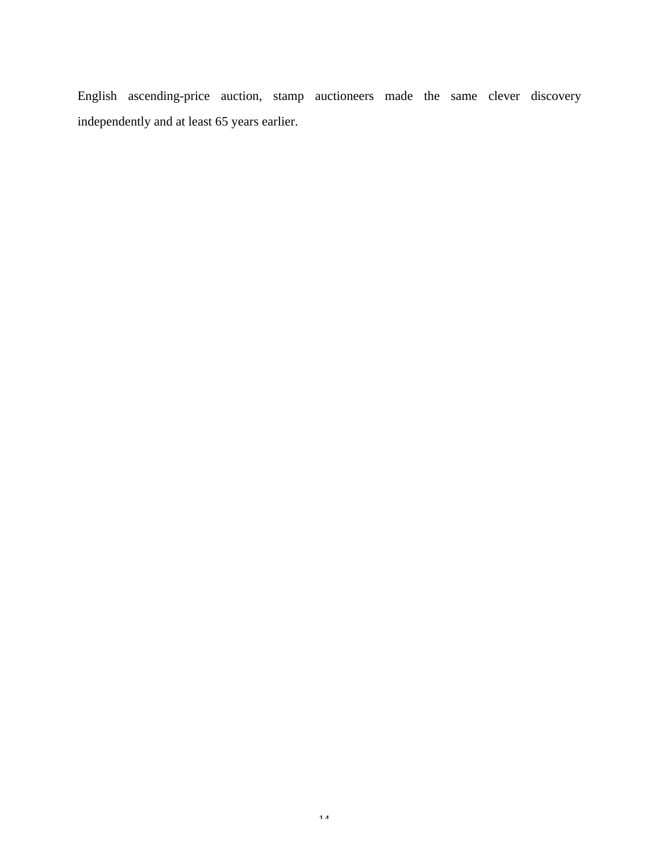English ascending-price auction, stamp auctioneers made the same clever discovery independently and at least 65 years earlier.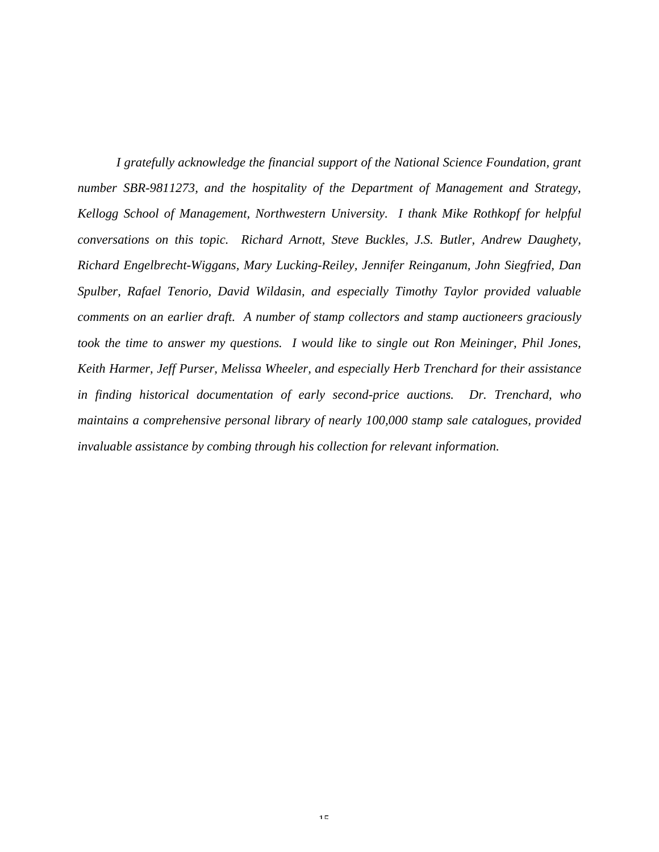*I gratefully acknowledge the financial support of the National Science Foundation, grant number SBR-9811273, and the hospitality of the Department of Management and Strategy, Kellogg School of Management, Northwestern University. I thank Mike Rothkopf for helpful conversations on this topic. Richard Arnott, Steve Buckles, J.S. Butler, Andrew Daughety, Richard Engelbrecht-Wiggans, Mary Lucking-Reiley, Jennifer Reinganum, John Siegfried, Dan Spulber, Rafael Tenorio, David Wildasin, and especially Timothy Taylor provided valuable comments on an earlier draft. A number of stamp collectors and stamp auctioneers graciously took the time to answer my questions. I would like to single out Ron Meininger, Phil Jones, Keith Harmer, Jeff Purser, Melissa Wheeler, and especially Herb Trenchard for their assistance in finding historical documentation of early second-price auctions. Dr. Trenchard, who maintains a comprehensive personal library of nearly 100,000 stamp sale catalogues, provided invaluable assistance by combing through his collection for relevant information.*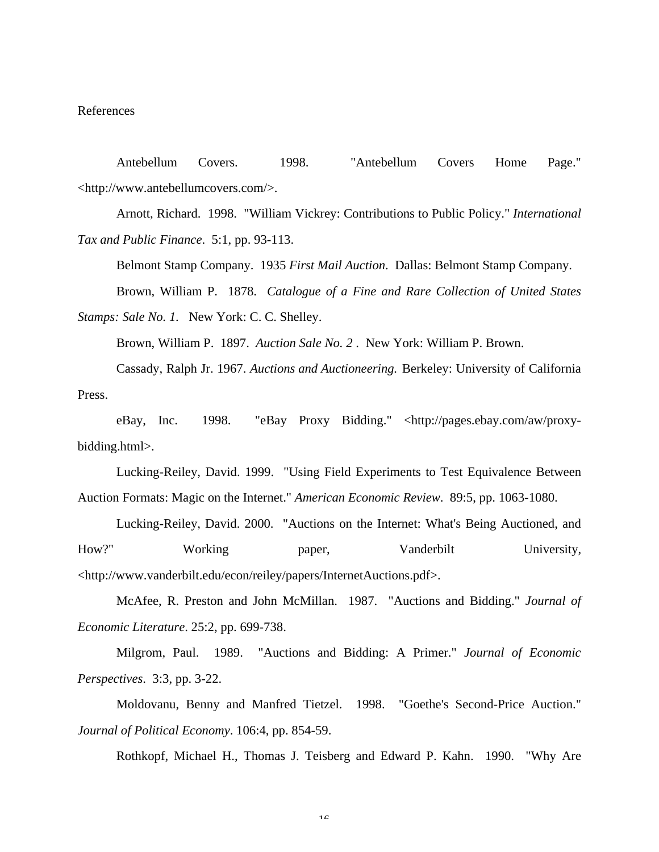#### References

Antebellum Covers. 1998. "Antebellum Covers Home Page." <http://www.antebellumcovers.com/>.

Arnott, Richard. 1998. "William Vickrey: Contributions to Public Policy." *International Tax and Public Finance*. 5:1, pp. 93-113.

Belmont Stamp Company. 1935 *First Mail Auction*. Dallas: Belmont Stamp Company.

Brown, William P. 1878. *Catalogue of a Fine and Rare Collection of United States*

*Stamps: Sale No. 1.* New York: C. C. Shelley.

Brown, William P. 1897. *Auction Sale No. 2* . New York: William P. Brown.

Cassady, Ralph Jr. 1967. *Auctions and Auctioneering.* Berkeley: University of California Press.

eBay, Inc. 1998. "eBay Proxy Bidding." <http://pages.ebay.com/aw/proxybidding.html>.

Lucking-Reiley, David. 1999. "Using Field Experiments to Test Equivalence Between Auction Formats: Magic on the Internet." *American Economic Review*. 89:5, pp. 1063-1080.

Lucking-Reiley, David. 2000. "Auctions on the Internet: What's Being Auctioned, and How?" Working paper, Vanderbilt University, <http://www.vanderbilt.edu/econ/reiley/papers/InternetAuctions.pdf>.

McAfee, R. Preston and John McMillan. 1987. "Auctions and Bidding." *Journal of Economic Literature*. 25:2, pp. 699-738.

Milgrom, Paul. 1989. "Auctions and Bidding: A Primer." *Journal of Economic Perspectives*. 3:3, pp. 3-22.

Moldovanu, Benny and Manfred Tietzel. 1998. "Goethe's Second-Price Auction." *Journal of Political Economy*. 106:4, pp. 854-59.

 $1<sub>c</sub>$ 

Rothkopf, Michael H., Thomas J. Teisberg and Edward P. Kahn. 1990. "Why Are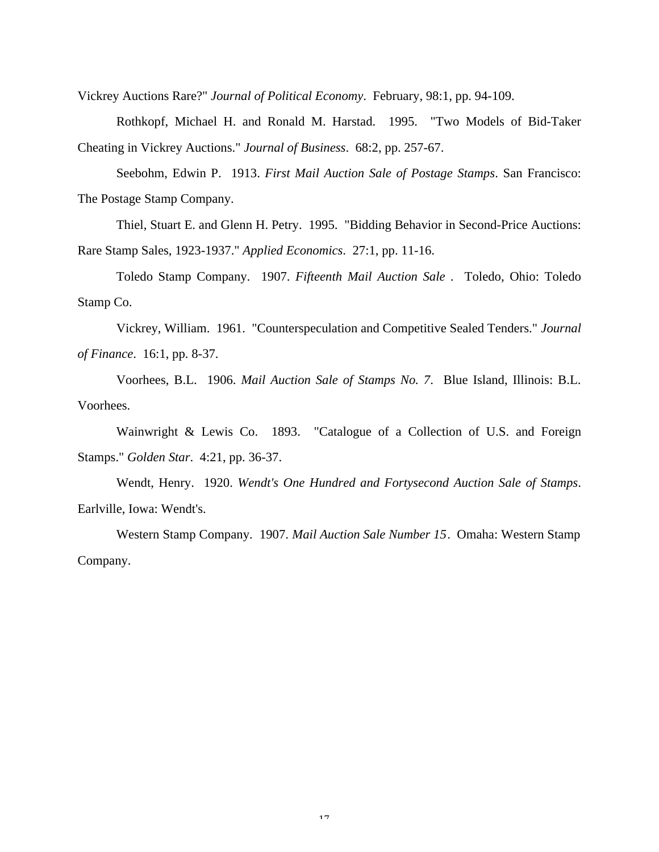Vickrey Auctions Rare?" *Journal of Political Economy*. February, 98:1, pp. 94-109.

Rothkopf, Michael H. and Ronald M. Harstad. 1995. "Two Models of Bid-Taker Cheating in Vickrey Auctions." *Journal of Business*. 68:2, pp. 257-67.

Seebohm, Edwin P. 1913. *First Mail Auction Sale of Postage Stamps*. San Francisco: The Postage Stamp Company.

Thiel, Stuart E. and Glenn H. Petry. 1995. "Bidding Behavior in Second-Price Auctions: Rare Stamp Sales, 1923-1937." *Applied Economics*. 27:1, pp. 11-16.

Toledo Stamp Company. 1907. *Fifteenth Mail Auction Sale* . Toledo, Ohio: Toledo Stamp Co.

Vickrey, William. 1961. "Counterspeculation and Competitive Sealed Tenders." *Journal of Finance*. 16:1, pp. 8-37.

Voorhees, B.L. 1906. *Mail Auction Sale of Stamps No. 7*. Blue Island, Illinois: B.L. Voorhees.

Wainwright & Lewis Co. 1893. "Catalogue of a Collection of U.S. and Foreign Stamps." *Golden Star*. 4:21, pp. 36-37.

Wendt, Henry. 1920. *Wendt's One Hundred and Fortysecond Auction Sale of Stamps*. Earlville, Iowa: Wendt's.

Western Stamp Company. 1907. *Mail Auction Sale Number 15*. Omaha: Western Stamp Company.